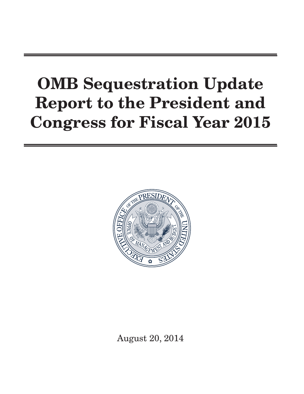# OMB Sequestration Update Report to the President and Congress for Fiscal Year 2015



August 20, 2014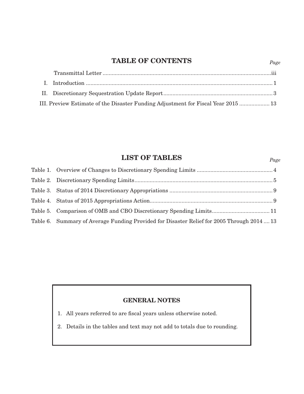# TABLE OF CONTENTS

| III. Preview Estimate of the Disaster Funding Adjustment for Fiscal Year 2015  13 |
|-----------------------------------------------------------------------------------|

*Page*

*Page*

# LIST OF TABLES

|  | Table 6. Summary of Average Funding Provided for Disaster Relief for 2005 Through 2014  13 |  |
|--|--------------------------------------------------------------------------------------------|--|

## GENERAL NOTES

- 1. All years referred to are fiscal years unless otherwise noted.
- 2. Details in the tables and text may not add to totals due to rounding.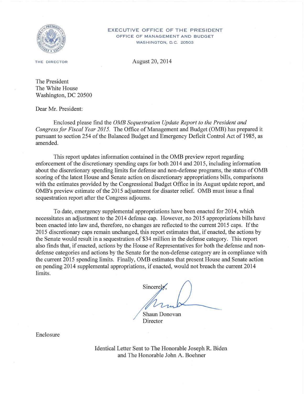<span id="page-4-0"></span>

#### EXECUTIVE OFFICE OF THE PRESIDENT OFFICE OF MANAGEMENT AND BUDGET WASHINGTON, D.C. 20503

THE DIRECTOR

August 20, 2014

The President The White House Washington, DC 20500

Dear Mr. President:

Enclosed please find the *OMB Sequestration Update Report to the President and Congress for Fiscal Year 2015.* The Office of Management and Budget (OMB) has prepared it pursuant to section 254 of the Balanced Budget and Emergency Deficit Control Act of 1985, as amended.

This report updates information contained in the OMB preview report regarding enforcement of the discretionary spending caps for both 2014 and 2015, including information about the discretionary spending limits for defense and non-defense programs, the status of OMB scoring of the latest House and Senate action on discretionary appropriations bills, comparisons with the estimates provided by the Congressional Budget Office in its August update report, and OMB's preview estimate of the 2015 adjustment for disaster relief. OMB must issue a final sequestration report after the Congress adjourns.

To date, emergency supplemental appropriations have been enacted for 2014, which necessitates an adjustment to the 2014 defense cap. However, no 2015 appropriations bills have been enacted into law and, therefore, no changes are reflected to the current 2015 caps. If the 2015 discretionary caps remain unchanged, this report estimates that, if enacted, the actions by the Senate would result in a sequestration of \$34 million in the defense category. This report also finds that, if enacted, actions by the House of Representatives for both the defense and nondefense categories and actions by the Senate for the non-defense category are in compliance with the current 2015 spending limits. Finally, OMB estimates that present House and Senate action on pending 2014 supplemental appropriations, if enacted, would not breach the current 2014 limits.

Sincerely.

Shaun Donovan **Director** 

Enclosure

Identical Letter Sent to The Honorable Joseph R. Biden and The Honorable John A. Boehner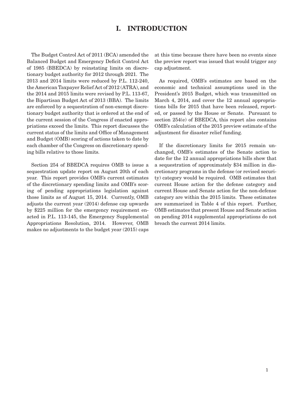## I. INTRODUCTION

<span id="page-6-0"></span>The Budget Control Act of 2011 (BCA) amended the Balanced Budget and Emergency Deficit Control Act of 1985 (BBEDCA) by reinstating limits on discretionary budget authority for 2012 through 2021. The 2013 and 2014 limits were reduced by P.L. 112-240, the American Taxpayer Relief Act of 2012 (ATRA), and the 2014 and 2015 limits were revised by P.L. 113-67, the Bipartisan Budget Act of 2013 (BBA). The limits are enforced by a sequestration of non-exempt discretionary budget authority that is ordered at the end of the current session of the Congress if enacted appropriations exceed the limits. This report discusses the current status of the limits and Office of Management and Budget (OMB) scoring of actions taken to date by each chamber of the Congress on discretionary spending bills relative to those limits.

Section 254 of BBEDCA requires OMB to issue a sequestration update report on August 20th of each year. This report provides OMB's current estimates of the discretionary spending limits and OMB's scoring of pending appropriations legislation against those limits as of August 15, 2014. Currently, OMB adjusts the current year (2014) defense cap upwards by \$225 million for the emergency requirement enacted in P.L. 113-145, the Emergency Supplemental Appropriations Resolution, 2014. However, OMB makes no adjustments to the budget year (2015) caps

at this time because there have been no events since the preview report was issued that would trigger any cap adjustment.

As required, OMB's estimates are based on the economic and technical assumptions used in the President's 2015 Budget, which was transmitted on March 4, 2014, and cover the 12 annual appropriations bills for 2015 that have been released, reported, or passed by the House or Senate. Pursuant to section 254(e) of BBEDCA, this report also contains OMB's calculation of the 2015 preview estimate of the adjustment for disaster relief funding.

If the discretionary limits for 2015 remain unchanged, OMB's estimates of the Senate action to date for the 12 annual appropriations bills show that a sequestration of approximately \$34 million in discretionary programs in the defense (or revised security) category would be required. OMB estimates that current House action for the defense category and current House and Senate action for the non-defense category are within the 2015 limits. These estimates are summarized in Table 4 of this report. Further, OMB estimates that present House and Senate action on pending 2014 supplemental appropriations do not breach the current 2014 limits.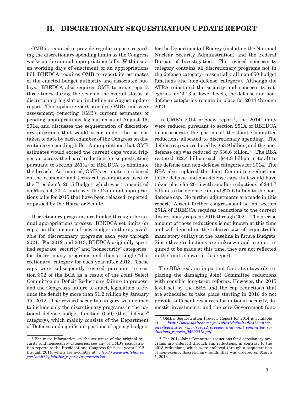### <span id="page-8-0"></span>II. DISCRETIONARY SEQUESTRATION UPDATE REPORT

OMB is required to provide regular reports regarding the discretionary spending limits as the Congress works on the annual appropriations bills. Within seven working days of enactment of an appropriations bill, BBEDCA requires OMB to report its estimates of the enacted budget authority and associated outlays. BBEDCA also requires OMB to issue reports three times during the year on the overall status of discretionary legislation, including an August update report. This update report provides OMB's mid-year assessment, reflecting OMB's current estimates of pending appropriations legislation as of August 15, 2014, and discusses the sequestration of discretionary programs that would occur under the actions taken to date by each chamber of the Congress on discretionary spending bills. Appropriations that OMB estimates would exceed the current caps would trigger an across-the-board reduction (or sequestration) pursuant to section 251(a) of BBEDCA to eliminate the breach. As required, OMB's estimates are based on the economic and technical assumptions used in the President's 2015 Budget, which was transmitted on March 4, 2014, and cover the 12 annual appropriations bills for 2015 that have been released, reported, or passed by the House or Senate.

Discretionary programs are funded through the annual appropriations process. BBEDCA set limits (or caps) on the amount of new budget authority available for discretionary programs each year through 2021. For 2012 and 2013, BBEDCA originally specified separate "security" and "nonsecurity" categories <sup>1</sup> for discretionary programs and then a single "discretionary" category for each year after 2013. These caps were subsequently revised pursuant to section 302 of the BCA as a result of the Joint Select Committee on Deficit Reduction's failure to propose, and the Congress's failure to enact, legislation to reduce the deficit by more than \$1.2 trillion by January 15, 2012. The revised security category was defined to include only the discretionary programs in the national defense budget function (050) (the "defense" category), which mainly consists of the Department of Defense and significant portions of agency budgets

for the Department of Energy (including the National Nuclear Security Administration) and the Federal Bureau of Investigation. The revised nonsecurity category contains all discretionary programs not in the defense category—essentially all non-050 budget functions (the "non-defense" category). Although the ATRA reinstated the security and nonsecurity categories for 2013 at lower levels, the defense and nondefense categories remain in place for 2014 through 2021.

In OMB's  $2014$  preview report<sup>2</sup>, the 2014 limits were reduced pursuant to section 251A of BBEDCA to incorporate the portion of the Joint Committee reductions allocated to discretionary spending. The defense cap was reduced by \$53.9 billion, and the nondefense cap was reduced by \$36.6 billion.<sup>3</sup> The BBA restored \$22.4 billion each (\$44.8 billion in total) to the defense and non-defense categories for 2014. The BBA also replaced the Joint Committee reductions to the defense and non-defense caps that would have taken place for 2015 with smaller reductions of \$44.7 billion to the defense cap and \$27.6 billion to the nondefense cap. No further adjustments are made in this report. Absent further congressional action, section 251A of BBEDCA requires reductions to the current discretionary caps for 2016 through 2021. The precise amount of those reductions is not known at this time and will depend on the relative size of sequestrable mandatory outlays in the baseline in future Budgets. Since these reductions are unknown and are not required to be made at this time, they are not reflected in the limits shown in this report.

The BBA took an important first step towards replacing the damaging Joint Committee reductions with sensible long-term reforms. However, the 2015 level set by the BBA and the cap reductions that are scheduled to take place starting in 2016 do not provide sufficient resources for national security, domestic investments, and the core Government func-

<sup>&</sup>lt;sup>1</sup> For more information on the structure of the original security and nonsecurity categories, see any of OMB's sequestration reports to the President and Congress for fiscal years 2012 through 2014, which are available at: *[http://www.whitehouse.](http://www.whitehouse.gov/omb/legislative_reports/sequestration) [gov/omb/legislative\\_reports/sequestration](http://www.whitehouse.gov/omb/legislative_reports/sequestration).*

<sup>2</sup> OMB's Sequestration Preview Report for 2014 is available at: *[http://www.whitehouse.gov/sites/default/files/omb/as](http://www.whitehouse.gov/sites/default/files/omb/assets/legislative_reports/fy14_preview_and_joint_committee_reductions_reports_05202013.pdf)[sets/legislative\\_reports/fy14\\_preview\\_and\\_joint\\_committee\\_re](http://www.whitehouse.gov/sites/default/files/omb/assets/legislative_reports/fy14_preview_and_joint_committee_reductions_reports_05202013.pdf)[ductions\\_reports\\_05202013.pdf.](http://www.whitehouse.gov/sites/default/files/omb/assets/legislative_reports/fy14_preview_and_joint_committee_reductions_reports_05202013.pdf)*

<sup>3</sup> The 2014 Joint Committee reductions for discretionary programs are enforced through cap reductions, in contrast to the 2013 reductions, which were enforced through a sequestration of non-exempt discretionary funds that was ordered on March 1, 2013.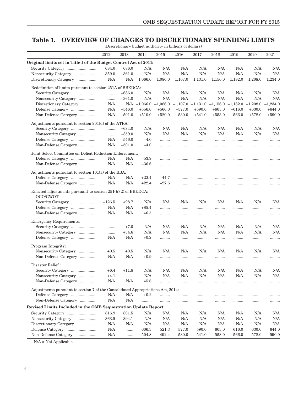#### <span id="page-9-0"></span>Table 1. OVERVIEW OF CHANGES TO DISCRETIONARY SPENDING LIMITS

|                                                                                                                       |           |           |           | (Discretionary budget authority in billions of dollars)                                       |           |           |           |           |           |          |
|-----------------------------------------------------------------------------------------------------------------------|-----------|-----------|-----------|-----------------------------------------------------------------------------------------------|-----------|-----------|-----------|-----------|-----------|----------|
|                                                                                                                       | 2012      | 2013      | 2014      | 2015                                                                                          | 2016      | 2017      | 2018      | 2019      | 2020      | 2021     |
| Original limits set in Title I of the Budget Control Act of 2011:                                                     |           |           |           |                                                                                               |           |           |           |           |           |          |
|                                                                                                                       | 684.0     | 686.0     | N/A       | N/A                                                                                           | N/A       | N/A       | N/A       | N/A       | N/A       | N/A      |
| Nonsecurity Category                                                                                                  | 359.0     | 361.0     | N/A       | N/A                                                                                           | N/A       | N/A       | N/A       | N/A       | N/A       | N/A      |
| Discretionary Category                                                                                                | N/A       | N/A       | 1,066.0   | 1,086.0                                                                                       | 1,107.0   | 1,131.0   | 1,156.0   | 1,182.0   | 1,208.0   | 1,234.0  |
| Redefinition of limits pursuant to section 251A of BBEDCA:                                                            |           |           |           |                                                                                               |           |           |           |           |           |          |
| Security Category                                                                                                     | .         | $-686.0$  | N/A       | N/A                                                                                           | N/A       | N/A       | N/A       | N/A       | N/A       | N/A      |
| Nonsecurity Category                                                                                                  | .         | $-361.0$  | N/A       | N/A                                                                                           | N/A       | N/A       | N/A       | N/A       | N/A       | N/A      |
| Discretionary Category                                                                                                | N/A       |           |           | $N/A$ $-1,066.0$ $-1,086.0$ $-1,107.0$ $-1,131.0$ $-1,156.0$ $-1,182.0$ $-1,208.0$ $-1,234.0$ |           |           |           |           |           |          |
|                                                                                                                       | N/A       | $+546.0$  | $+556.0$  | $+566.0$                                                                                      | $+577.0$  | $+590.0$  | $+603.0$  | $+616.0$  | $+630.0$  | $+644.0$ |
| Non-Defense Category                                                                                                  | N/A       | $+501.0$  | $+510.0$  | $+520.0$                                                                                      | $+530.0$  | $+541.0$  | $+553.0$  | $+566.0$  | $+578.0$  | $+590.0$ |
| Adjustments pursuant to section 901(d) of the ATRA:                                                                   |           |           |           |                                                                                               |           |           |           |           |           |          |
| Security Category                                                                                                     | .         | $+684.0$  | N/A       | N/A                                                                                           | N/A       | N/A       | N/A       | N/A       | N/A       | N/A      |
| Nonsecurity Category                                                                                                  | .         | $+359.0$  | N/A       | N/A                                                                                           | N/A       | N/A       | N/A       | N/A       | N/A       | N/A      |
| $\label{eq:3} \textbf{Define} \text{ } \textbf{Categorical} \text{ } \dots \dots \dots \dots \dots \dots \dots \dots$ | N/A       | $-546.0$  | $-4.0$    | .                                                                                             |           | .         |           |           |           | .        |
| Non-Defense Category                                                                                                  | N/A       | $-501.0$  | $-4.0$    | .                                                                                             |           |           |           |           |           | .        |
| Joint Select Committee on Deficit Reduction Enforcement:                                                              |           |           |           |                                                                                               |           |           |           |           |           |          |
| Defense Category                                                                                                      | N/A       | N/A       | $-53.9$   | .                                                                                             |           | .         |           |           |           | .        |
| Non-Defense Category                                                                                                  | N/A       | N/A       | $-36.6$   | .                                                                                             |           | .         | .         | .         |           | .        |
| Adjustments pursuant to section 101(a) of the BBA:                                                                    |           |           |           |                                                                                               |           |           |           |           |           |          |
|                                                                                                                       | N/A       | N/A       | $+22.4$   | $-44.7$                                                                                       |           |           |           |           |           | .        |
| Non-Defense Category                                                                                                  | $\rm N/A$ | N/A       | $+22.4$   | $-27.6$                                                                                       |           |           | .         | .         |           | .        |
| Enacted adjustments pursuant to section $251(b)(2)$ of BBEDCA:                                                        |           |           |           |                                                                                               |           |           |           |           |           |          |
| OCO/GWOT:                                                                                                             |           |           |           |                                                                                               |           |           |           |           |           |          |
| Security Category                                                                                                     | $+126.5$  | $+98.7$   | N/A       | N/A                                                                                           | N/A       | N/A       | N/A       | N/A       | N/A       | N/A      |
| $\label{eq:3} \textbf{Define} \text{ Category }\dots\dots\dots\dots\dots\dots \dots$                                  | N/A       | N/A       | $+85.4$   | .                                                                                             |           |           |           | .         |           | .        |
| Non-Defense Category                                                                                                  | N/A       | $\rm N/A$ | $+6.5$    | .                                                                                             |           |           |           | .         |           | .        |
| <b>Emergency Requirements:</b>                                                                                        |           |           |           |                                                                                               |           |           |           |           |           |          |
| Security Category                                                                                                     |           | $+7.0$    | N/A       | N/A                                                                                           | N/A       | N/A       | N/A       | N/A       | N/A       | N/A      |
| Nonsecurity Category                                                                                                  | .         | $+34.6$   | N/A       | N/A                                                                                           | N/A       | N/A       | N/A       | N/A       | N/A       | N/A      |
| $\label{eq:3} \textbf{Define} \text{ Category }\dots\dots\dots\dots\dots\dots \dots$                                  | N/A       | N/A       | $+0.2$    | .                                                                                             |           | .         |           | .         |           | .        |
| Program Integrity:                                                                                                    |           |           |           |                                                                                               |           |           |           |           |           |          |
| Nonsecurity Category                                                                                                  | $+0.5$    | $+0.5$    | N/A       | N/A                                                                                           | N/A       | N/A       | N/A       | N/A       | N/A       | N/A      |
| Non-Defense Category                                                                                                  | N/A       | N/A       | $+0.9$    | .                                                                                             |           | .         | .         | .         |           | .        |
| Disaster Relief:                                                                                                      |           |           |           |                                                                                               |           |           |           |           |           |          |
| Security Category                                                                                                     | $+6.4$    | $+11.8$   | $\rm N/A$ | $\rm N/A$                                                                                     | $\rm N/A$ | $\rm N/A$ | $\rm N/A$ | $\rm N/A$ | $\rm N/A$ | N/A      |
| Nonsecurity Category                                                                                                  | $+4.1$    | .         | N/A       | N/A                                                                                           | N/A       | N/A       | N/A       | N/A       | N/A       | N/A      |
| Non-Defense Category                                                                                                  | N/A       | N/A       | $+5.6$    | .                                                                                             |           | .         | .         | .         |           | .        |
| Adjustments pursuant to section 7 of the Consolidated Appropriations Act, 2014:                                       |           |           |           |                                                                                               |           |           |           |           |           |          |
|                                                                                                                       | N/A       | N/A       | $+0.2$    |                                                                                               |           |           |           |           |           |          |
| Non-Defense Category                                                                                                  | N/A       | N/A       |           | .<br>.                                                                                        | <br>      | <br>      | .<br>     | .<br>.    | <br>      | .<br>.   |
| Revised Limits Included in the OMB Sequestration Update Report:                                                       |           |           |           |                                                                                               |           |           |           |           |           |          |
| Security Category                                                                                                     | 816.9     | 801.5     | N/A       | N/A                                                                                           | N/A       | N/A       | N/A       | N/A       | N/A       | N/A      |
|                                                                                                                       | 363.5     | 394.1     | N/A       | N/A                                                                                           | N/A       | N/A       | N/A       | N/A       | N/A       | N/A      |
| Discretionary Category                                                                                                | N/A       | N/A       | N/A       | $\rm N/A$                                                                                     | N/A       | N/A       | N/A       | N/A       | N/A       | N/A      |
| $\label{eq:3} \textbf{Define} \textbf{ Category} \quad \dots \dots \dots \dots \dots \dots \dots \dots$               | N/A       | .         | 606.3     | 521.3                                                                                         | 577.0     | 590.0     | 603.0     | 616.0     | 630.0     | 644.0    |
| Non-Defense Category                                                                                                  | N/A       | .         | 504.8     | 492.4                                                                                         | 530.0     | 541.0     | 553.0     | 566.0     | 578.0     | 590.0    |

(Discretionary budget authority in billions of dollars)

 $\rm N/A = \rm Not$  Applicable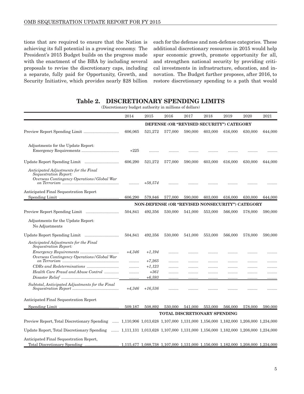<span id="page-10-0"></span>tions that are required to ensure that the Nation is achieving its full potential in a growing economy. The President's 2015 Budget builds on the progress made with the enactment of the BBA by including several proposals to revise the discretionary caps, including a separate, fully paid for Opportunity, Growth, and Security Initiative, which provides nearly \$28 billion

each for the defense and non-defense categories. These additional discretionary resources in 2015 would help spur economic growth, promote opportunity for all, and strengthen national security by providing critical investments in infrastructure, education, and innovation. The Budget further proposes, after 2016, to restore discretionary spending to a path that would

#### Table 2. DISCRETIONARY SPENDING LIMITS

(Discretionary budget authority in millions of dollars)

|                                                                                                                               | 2014     | 2015               | 2016    | 2017    | 2018                                                                                     | 2019    | 2020    | 2021    |
|-------------------------------------------------------------------------------------------------------------------------------|----------|--------------------|---------|---------|------------------------------------------------------------------------------------------|---------|---------|---------|
|                                                                                                                               |          |                    |         |         | DEFENSE (OR "REVISED SECURITY") CATEGORY                                                 |         |         |         |
|                                                                                                                               | 606,065  | 521,272            | 577,000 | 590,000 | 603,000                                                                                  | 616,000 | 630,000 | 644,000 |
| Adjustments for the Update Report:                                                                                            | $+225$   | .                  |         |         |                                                                                          |         |         |         |
|                                                                                                                               | 606,290  | 521,272            | 577,000 | 590,000 | 603,000                                                                                  | 616,000 | 630,000 | 644,000 |
| Anticipated Adjustments for the Final<br>Sequestration Report:<br>Overseas Contingency Operations / Global War                | .        | $+58,574$          | .       | .       |                                                                                          |         |         | .       |
|                                                                                                                               |          |                    |         |         |                                                                                          |         |         |         |
| Anticipated Final Sequestration Report                                                                                        | 606,290  | 579,846            | 577,000 | 590,000 | 603,000                                                                                  | 616,000 | 630,000 | 644,000 |
|                                                                                                                               |          |                    |         |         | NON-DEFENSE (OR "REVISED NONSECURITY") CATEGORY                                          |         |         |         |
|                                                                                                                               | 504,841  | 492,356            | 530,000 | 541,000 | 553,000                                                                                  | 566,000 | 578,000 | 590,000 |
| Adjustments for the Update Report:<br>No Adjustments                                                                          |          |                    |         |         |                                                                                          |         |         |         |
|                                                                                                                               | 504,841  | 492,356            | 530,000 | 541,000 | 553,000                                                                                  | 566,000 | 578,000 | 590,000 |
| Anticipated Adjustments for the Final<br>Sequestration Report:                                                                |          |                    |         |         |                                                                                          |         |         |         |
| Overseas Contingency Operations / Global War                                                                                  | $+4,346$ | $+1,194$           | .       | .       |                                                                                          |         |         | .       |
|                                                                                                                               | .        | $+7,265$           | .       | .       |                                                                                          |         |         | .       |
|                                                                                                                               | .        | $+1,123$<br>$+361$ |         |         |                                                                                          |         |         | .       |
| Health Care Fraud and Abuse Control                                                                                           | .<br>.   | $+6,593$           | .<br>   | .<br>   | .<br>                                                                                    | <br>    | <br>    | .<br>   |
| Subtotal, Anticipated Adjustments for the Final                                                                               | $+4,346$ | $+16,536$          | .       | .       | .                                                                                        |         |         | .       |
| Anticipated Final Sequestration Report                                                                                        |          |                    |         |         |                                                                                          |         |         |         |
|                                                                                                                               | 509,187  | 508,892            | 530,000 | 541,000 | 553,000                                                                                  | 566,000 | 578,000 | 590,000 |
|                                                                                                                               |          |                    |         |         | TOTAL DISCRETIONARY SPENDING                                                             |         |         |         |
| Preview Report, Total Discretionary Spending  1,110,906 1,013,628 1,107,000 1,131,000 1,156,000 1,182,000 1,208,000 1,234,000 |          |                    |         |         |                                                                                          |         |         |         |
| Update Report, Total Discretionary Spending                                                                                   |          |                    |         |         | $\ldots$ 1,111,131 1,013,628 1,107,000 1,131,000 1,156,000 1,182,000 1,208,000 1,234,000 |         |         |         |
| Anticipated Final Sequestration Report,                                                                                       |          |                    |         |         |                                                                                          |         |         |         |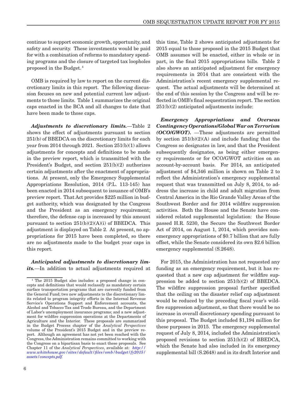continue to support economic growth, opportunity, and safety and security. These investments would be paid for with a combination of reforms to mandatory spending programs and the closure of targeted tax loopholes proposed in the Budget. <sup>4</sup>

OMB is required by law to report on the current discretionary limits in this report. The following discussion focuses on new and potential current law adjustments to those limits. Table 1 summarizes the original caps enacted in the BCA and all changes to date that have been made to those caps.

*Adjustments to discretionary limits.*—Table 2 shows the effect of adjustments pursuant to section 251(b) of BBEDCA on the discretionary limits for each year from 2014 through 2021. Section 251(b)(1) allows adjustments for concepts and definitions to be made in the preview report, which is transmitted with the President's Budget, and section 251(b)(2) authorizes certain adjustments after the enactment of appropriations. At present, only the Emergency Supplemental Appropriations Resolution, 2014 (P.L. 113-145) has been enacted in 2014 subsequent to issuance of OMB's preview report. That Act provides \$225 million in budget authority, which was designated by the Congress and the President as an emergency requirement; therefore, the defense cap is increased by this amount pursuant to section  $251(b)(2)(A)(i)$  of BBEDCA. This adjustment is displayed on Table 2. At present, no appropriations for 2015 have been completed, so there are no adjustments made to the budget year caps in this report.

*Anticipated adjustments to discretionary limits.*—In addition to actual adjustments required at this time, Table 2 shows anticipated adjustments for 2015 equal to those proposed in the 2015 Budget that OMB assumes will be enacted, either in whole or in part, in the final 2015 appropriations bills. Table 2 also shows an anticipated adjustment for emergency requirements in 2014 that are consistent with the Administration's recent emergency supplemental request. The actual adjustments will be determined at the end of this session by the Congress and will be reflected in OMB's final sequestration report. The section 251(b)(2) anticipated adjustments include:

*Emergency Appropriations and Overseas Contingency Operations/Global War on Terrorism (OCO/GWOT).* —These adjustments are permitted by section  $251(b)(2)(A)$  and include funding that the Congress so designates in law, and that the President subsequently designates, as being either emergency requirements or for OCO/GWOT activities on an account-by-account basis. For 2014, an anticipated adjustment of \$4,346 million is shown on Table 2 to reflect the Administration's emergency supplemental request that was transmitted on July 8, 2014, to address the increase in child and adult migration from Central America in the Rio Grande Valley Areas of the Southwest Border and for 2014 wildfire suppression activities. Both the House and the Senate have considered related supplemental legislation: the House passed H.R. 5230, the Secure the Southwest Border Act of 2014, on August 1, 2014, which provides nonemergency appropriations of \$0.7 billion that are fully offset, while the Senate considered its own \$2.6 billion emergency supplemental (S.2648).

For 2015, the Administration has not requested any funding as an emergency requirement, but it has requested that a new cap adjustment for wildfire suppression be added to section 251(b)(2) of BBEDCA. The wildfire suppression proposal further specified that the ceiling on the disaster relief cap adjustment would be reduced by the preceding fiscal year's wildfire suppression adjustment, so that there would be no increase in overall discretionary spending pursuant to this proposal. The Budget included \$1,194 million for these purposes in 2015. The emergency supplemental request of July 8, 2014, included the Administration's proposed revisions to section 251(b)(2) of BBEDCA, which the Senate had also included in its emergency supplemental bill (S.2648) and in its draft Interior and

<sup>4</sup> The 2015 Budget also includes: a proposed change in concepts and definitions that would reclassify as mandatory certain surface transportation programs that are currently funded from the General Fund; two new adjustments to the discretionary limits related to program integrity efforts in the Internal Revenue Service's Operations Support and Enforcement accounts, the Alcohol and Tobacco Tax and Trade Bureau, and the Department of Labor's unemployment insurance programs; and a new adjustment for wildfire suppression operations at the Departments of Agriculture and the Interior. These proposals are summarized in the Budget Process chapter of the *Analytical Perspectives* volume of the President's 2015 Budget and in the preview report. Although an agreement has not yet been reached with the Congress, the Administration remains committed to working with the Congress on a bipartisan basis to enact these proposals. See Chapter 11 of the *Analytical Perspectives*, available at: *[http://](http://www.whitehouse.gov/sites/default/files/omb/budget/fy2015/assets/concepts.pdf) [www.whitehouse.gov/sites/default/files/omb/budget/fy2015/](http://www.whitehouse.gov/sites/default/files/omb/budget/fy2015/assets/concepts.pdf) [assets/concepts.pdf](http://www.whitehouse.gov/sites/default/files/omb/budget/fy2015/assets/concepts.pdf).*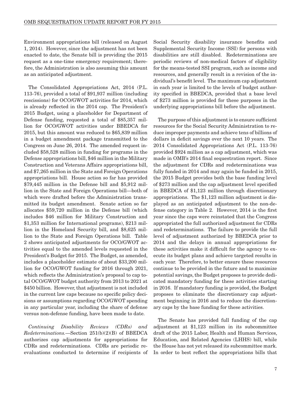Environment appropriations bill (released on August 1, 2014). However, since the adjustment has not been enacted to date, the Senate bill is providing the 2015 request as a one-time emergency requirement; therefore, the Administration is also assuming this amount as an anticipated adjustment.

The Consolidated Appropriations Act, 2014 (P.L. 113-76), provided a total of \$91,937 million (including rescissions) for OCO/GWOT activities for 2014, which is already reflected in the 2014 cap. The President's 2015 Budget, using a placeholder for Department of Defense funding, requested a total of \$85,357 million for OCO/GWOT activities under BBEDCA for 2015, but this amount was reduced to \$65,839 million in a budget amendment package transmitted to the Congress on June 26, 2014. The amended request included \$58,528 million in funding for programs in the Defense appropriations bill, \$46 million in the Military Construction and Veterans Affairs appropriations bill, and \$7,265 million in the State and Foreign Operations appropriations bill. House action so far has provided \$79,445 million in the Defense bill and \$5,912 million in the State and Foreign Operations bill—both of which were drafted before the Administration transmitted its budget amendment. Senate action so far allocates \$59,720 million in the Defense bill (which includes \$46 million for Military Construction and \$1,353 million for International programs), \$213 million in the Homeland Security bill, and \$8,625 million to the State and Foreign Operations bill. Table 2 shows anticipated adjustments for OCO/GWOT activities equal to the amended levels requested in the President's Budget for 2015. The Budget, as amended, includes a placeholder estimate of about \$33,200 million for OCO/GWOT funding for 2016 through 2021, which reflects the Administration's proposal to cap total OCO/GWOT budget authority from 2013 to 2021 at \$450 billion. However, that adjustment is not included in the current law caps because no specific policy decisions or assumptions regarding OCO/GWOT spending in any particular year, including the share of defense versus non-defense funding, have been made to date.

*Continuing Disability Reviews (CDRs) and Redeterminations.*—Section 251(b)(2)(B) of BBEDCA authorizes cap adjustments for appropriations for CDRs and redeterminations. CDRs are periodic reevaluations conducted to determine if recipients of Social Security disability insurance benefits and Supplemental Security Income (SSI) for persons with disabilities are still disabled. Redeterminations are periodic reviews of non-medical factors of eligibility for the means-tested SSI program, such as income and resources, and generally result in a revision of the individual's benefit level. The maximum cap adjustment in each year is limited to the levels of budget authority specified in BBEDCA, provided that a base level of \$273 million is provided for these purposes in the underlying appropriations bill before the adjustment.

The purpose of this adjustment is to ensure sufficient resources for the Social Security Administration to reduce improper payments and achieve tens of billions of dollars in deficit savings over the next 10 years. The 2014 Consolidated Appropriations Act (P.L. 113-76) provided \$924 million as a cap adjustment, which was made in OMB's 2014 final sequestration report. Since the adjustment for CDRs and redeterminations was fully funded in 2014 and may again be funded in 2015, the 2015 Budget provides both the base funding level of \$273 million and the cap adjustment level specified in BBEDCA of \$1,123 million through discretionary appropriations. The \$1,123 million adjustment is displayed as an anticipated adjustment to the non-defense category in Table 2. However, 2014 is the first year since the caps were reinstated that the Congress appropriated the full authorized adjustment for CDRs and redeterminations. The failure to provide the full level of adjustment authorized by BBEDCA prior to 2014 and the delays in annual appropriations for these activities make it difficult for the agency to execute its budget plans and achieve targeted results in each year. Therefore, to better ensure these resources continue to be provided in the future and to maximize potential savings, the Budget proposes to provide dedicated mandatory funding for these activities starting in 2016. If mandatory funding is provided, the Budget proposes to eliminate the discretionary cap adjustment beginning in 2016 and to reduce the discretionary caps by the base funding for these activities.

The Senate has provided full funding of the cap adjustment at \$1,123 million in its subcommittee draft of the 2015 Labor, Health and Human Services, Education, and Related Agencies (LHHS) bill, while the House has not yet released its subcommittee mark. In order to best reflect the appropriations bills that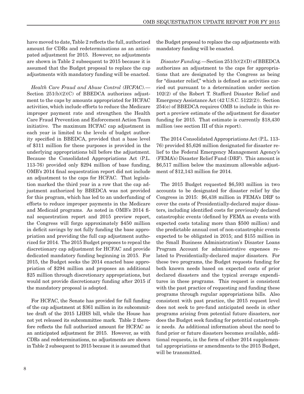have moved to date, Table 2 reflects the full, authorized amount for CDRs and redeterminations as an anticipated adjustment for 2015. However, no adjustments are shown in Table 2 subsequent to 2015 because it is assumed that the Budget proposal to replace the cap adjustments with mandatory funding will be enacted.

*Health Care Fraud and Abuse Control (HCFAC).*— Section  $251(b)(2)(C)$  of BBEDCA authorizes adjustment to the caps by amounts appropriated for HCFAC activities, which include efforts to reduce the Medicare improper payment rate and strengthen the Health Care Fraud Prevention and Enforcement Action Team initiative. The maximum HCFAC cap adjustment in each year is limited to the levels of budget authority specified in BBEDCA, provided that a base level of \$311 million for these purposes is provided in the underlying appropriations bill before the adjustment. Because the Consolidated Appropriations Act (P.L. 113-76) provided only \$294 million of base funding, OMB's 2014 final sequestration report did not include an adjustment to the caps for HCFAC. That legislation marked the third year in a row that the cap adjustment authorized by BBEDCA was not provided for this program, which has led to an underfunding of efforts to reduce improper payments in the Medicare and Medicaid programs. As noted in OMB's 2014 final sequestration report and 2015 preview report, the Congress will forgo approximately \$450 million in deficit savings by not fully funding the base appropriation and providing the full cap adjustment authorized for 2014. The 2015 Budget proposes to repeal the discretionary cap adjustment for HCFAC and provide dedicated mandatory funding beginning in 2015. For 2015, the Budget seeks the 2014 enacted base appropriation of \$294 million and proposes an additional \$25 million through discretionary appropriations, but would not provide discretionary funding after 2015 if the mandatory proposal is adopted.

For HCFAC, the Senate has provided for full funding of the cap adjustment at \$361 million in its subcommittee draft of the 2015 LHHS bill, while the House has not yet released its subcommittee mark. Table 2 therefore reflects the full authorized amount for HCFAC as an anticipated adjustment for 2015. However, as with CDRs and redeterminations, no adjustments are shown in Table 2 subsequent to 2015 because it is assumed that the Budget proposal to replace the cap adjustments with mandatory funding will be enacted.

*Disaster Funding.*—Section 251(b)(2)(D) of BBEDCA authorizes an adjustment to the caps for appropriations that are designated by the Congress as being for "disaster relief," which is defined as activities carried out pursuant to a determination under section 102(2) of the Robert T. Stafford Disaster Relief and Emergency Assistance Act (42 U.S.C. 5122(2)). Section 254(e) of BBEDCA requires OMB to include in this report a preview estimate of the adjustment for disaster funding for 2015. That estimate is currently \$18,430 million (see section III of this report).

The 2014 Consolidated Appropriations Act (P.L. 113- 76) provided \$5,626 million designated for disaster relief to the Federal Emergency Management Agency's (FEMA's) Disaster Relief Fund (DRF). This amount is \$6,517 million below the maximum allowable adjustment of \$12,143 million for 2014.

The 2015 Budget requested \$6,593 million in two accounts to be designated for disaster relief by the Congress in 2015: \$6,438 million in FEMA's DRF to cover the costs of Presidentially-declared major disasters, including identified costs for previously declared catastrophic events (defined by FEMA as events with expected costs totaling more than \$500 million) and the predictable annual cost of non-catastrophic events expected to be obligated in 2015; and \$155 million in the Small Business Administration's Disaster Loans Program Account for administrative expenses related to Presidentially-declared major disasters. For these two programs, the Budget requests funding for both known needs based on expected costs of prior declared disasters and the typical average expenditures in these programs. This request is consistent with the past practice of requesting and funding these programs through regular appropriations bills. Also consistent with past practice, the 2015 request level does not seek to pre-fund anticipated needs in other programs arising from potential future disasters, nor does the Budget seek funding for potential catastrophic needs. As additional information about the need to fund prior or future disasters becomes available, additional requests, in the form of either 2014 supplemental appropriations or amendments to the 2015 Budget, will be transmitted.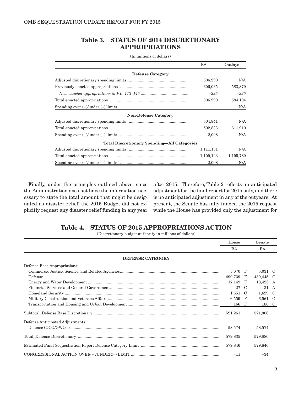#### Table 3. STATUS OF 2014 DISCRETIONARY APPROPRIATIONS

<span id="page-14-0"></span>

|                                                                                                                                                 | BA        | Outlays   |
|-------------------------------------------------------------------------------------------------------------------------------------------------|-----------|-----------|
| <b>Defense Category</b>                                                                                                                         |           |           |
|                                                                                                                                                 | 606,290   | N/A       |
|                                                                                                                                                 | 606,065   | 583,879   |
|                                                                                                                                                 | $+225$    | $+225$    |
|                                                                                                                                                 | 606,290   | 584,104   |
| $\label{eq:spending over (+)under (-)} \underline{\text{under (-)} \lim \underline{\text{its}} \ \ \underline{\text{}} \ \ \underline{\text{}}$ |           | N/A       |
| <b>Non-Defense Category</b>                                                                                                                     |           |           |
|                                                                                                                                                 | 504,841   | N/A       |
|                                                                                                                                                 | 502,833   | 611,910   |
|                                                                                                                                                 | $-2,008$  | N/A       |
| <b>Total Discretionary Spending—All Categories</b>                                                                                              |           |           |
|                                                                                                                                                 | 1,111,131 | N/A       |
|                                                                                                                                                 | 1,109,123 | 1,195,789 |
|                                                                                                                                                 | $-2,008$  | N/A       |

(In millions of dollars)

Finally, under the principles outlined above, since the Administration does not have the information necessary to state the total amount that might be designated as disaster relief, the 2015 Budget did not explicitly request any disaster relief funding in any year

after 2015. Therefore, Table 2 reflects an anticipated adjustment for the final report for 2015 only, and there is no anticipated adjustment in any of the outyears. At present, the Senate has fully funded the 2015 request while the House has provided only the adjustment for

## Table 4. STATUS OF 2015 APPROPRIATIONS ACTION

(Discretionary budget authority in millions of dollars)

|                                                                                                                                                                                                                                                                                                                                                                                                                                                                                                                                                         | House     |     | Senate    |  |
|---------------------------------------------------------------------------------------------------------------------------------------------------------------------------------------------------------------------------------------------------------------------------------------------------------------------------------------------------------------------------------------------------------------------------------------------------------------------------------------------------------------------------------------------------------|-----------|-----|-----------|--|
|                                                                                                                                                                                                                                                                                                                                                                                                                                                                                                                                                         | BA        |     | BA        |  |
| <b>DEFENSE CATEGORY</b>                                                                                                                                                                                                                                                                                                                                                                                                                                                                                                                                 |           |     |           |  |
| Defense Base Appropriations:                                                                                                                                                                                                                                                                                                                                                                                                                                                                                                                            |           |     |           |  |
|                                                                                                                                                                                                                                                                                                                                                                                                                                                                                                                                                         | 5,070 F   |     | 5,031 C   |  |
| $\label{eq:3} \textbf{Defense}\textcolor{red}{}\textcolor{red}{}\textcolor{red}{}\textcolor{red}{}\textcolor{red}{}\textcolor{red}{}\textcolor{red}{}\textcolor{red}{}\textcolor{red}{}\textcolor{red}{}\textcolor{red}{}\textcolor{red}{}\textcolor{red}{}\textcolor{red}{}\textcolor{red}{}\textcolor{red}{}\textcolor{red}{}\textcolor{red}{}\textcolor{red}{}\textcolor{red}{}\textcolor{red}{}\textcolor{red}{}\textcolor{red}{}\textcolor{red}{}\textcolor{red}{}\textcolor{red}{}\textcolor{red}{}\textcolor{red}{}\textcolor{red}{}\textcolor{$ | 490,739 F |     | 489,445 C |  |
|                                                                                                                                                                                                                                                                                                                                                                                                                                                                                                                                                         | 17,149    | - F | 18,423 A  |  |
|                                                                                                                                                                                                                                                                                                                                                                                                                                                                                                                                                         | 27        | C   | 31 A      |  |
|                                                                                                                                                                                                                                                                                                                                                                                                                                                                                                                                                         | 1,551     | -C  | 1,629 C   |  |
|                                                                                                                                                                                                                                                                                                                                                                                                                                                                                                                                                         | 6,559     | F   | 6,561 C   |  |
|                                                                                                                                                                                                                                                                                                                                                                                                                                                                                                                                                         | 166 F     |     | 186 C     |  |
|                                                                                                                                                                                                                                                                                                                                                                                                                                                                                                                                                         | 521,261   |     | 521,306   |  |
| Defense Anticipated Adjustments: <sup>1</sup>                                                                                                                                                                                                                                                                                                                                                                                                                                                                                                           |           |     |           |  |
|                                                                                                                                                                                                                                                                                                                                                                                                                                                                                                                                                         | 58,574    |     | 58,574    |  |
|                                                                                                                                                                                                                                                                                                                                                                                                                                                                                                                                                         | 579,835   |     | 579,880   |  |
|                                                                                                                                                                                                                                                                                                                                                                                                                                                                                                                                                         | 579,846   |     | 579,846   |  |
|                                                                                                                                                                                                                                                                                                                                                                                                                                                                                                                                                         | $-11$     |     | $+34$     |  |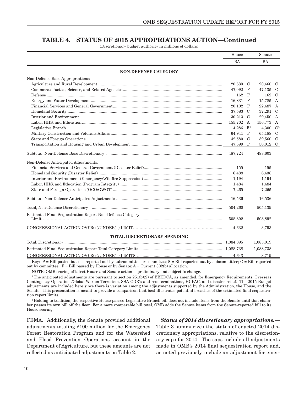#### TABLE 4. STATUS OF 2015 APPROPRIATIONS ACTION—Continued

(Discretionary budget authority in millions of dollars)

|                                                           | House     |                    | Senate      |  |
|-----------------------------------------------------------|-----------|--------------------|-------------|--|
|                                                           | <b>BA</b> |                    | BA          |  |
| <b>NON-DEFENSE CATEGORY</b>                               |           |                    |             |  |
| Non-Defense Base Appropriations:                          |           |                    |             |  |
|                                                           | 20,633 C  |                    | 20,460 C    |  |
|                                                           | 47,092    | $_{\rm F}$         | 47,135 C    |  |
|                                                           | 162       | F                  | 162 C       |  |
|                                                           | 16,831    | $_{\rm F}$         | 15,785 A    |  |
|                                                           | 20,102    | $_{\rm F}$         | 22,487 A    |  |
|                                                           | 37,583    | C                  | 37,291 C    |  |
|                                                           | 30,213 C  |                    | 29,450 A    |  |
|                                                           | 155,702 A |                    | 156,773 A   |  |
|                                                           | 4.286     | $\mathbf{F}^{\,2}$ | 4,300 $C^2$ |  |
|                                                           | 64,941 F  |                    | 65,188 C    |  |
|                                                           | 42,580    | - C                | 39,560 C    |  |
|                                                           | 47,599    | $_{\rm F}$         | 50,012 C    |  |
|                                                           | 487,724   |                    | 488,603     |  |
| Non-Defense Anticipated Adjustments: <sup>1</sup>         |           |                    |             |  |
|                                                           | 155       |                    | 155         |  |
|                                                           | 6,438     |                    | 6,438       |  |
|                                                           | 1,194     |                    | 1,194       |  |
|                                                           | 1,484     |                    | 1,484       |  |
|                                                           | 7,265     |                    | 7,265       |  |
|                                                           | 16,536    |                    | 16,536      |  |
|                                                           | 504,260   |                    | 505,139     |  |
| Estimated Final Sequestration Report Non-Defense Category | 508,892   |                    | 508,892     |  |
|                                                           | $-4,632$  |                    | $-3,753$    |  |
| <b>TOTAL DISCRETIONARY SPENDING</b>                       |           |                    |             |  |
|                                                           |           |                    | 1,085,019   |  |
|                                                           |           |                    | 1,088,738   |  |
|                                                           | $-4,643$  |                    | $-3,719$    |  |

Key:  $P =$  Bill posted but not reported out by subcommittee or committee;  $S =$  Bill reported out by subcommittee;  $C =$  Bill reported out by committee;  $F = Bill$  passed by House or by Senate;  $A = Current 302(b)$  allocation.

NOTE: OMB scoring of latest House and Senate action is preliminary and subject to change.

 $1$ <sup>T</sup>he anticipated adjustments are pursuant to section  $251(b)(2)$  of BBEDCA, as amended, for Emergency Requirements, Overseas Contingency Operations/Global War on Terrorism, SSA CDR's and redeterminations, HCFAC, and disaster relief. The 2015 Budget adjustments are included here since there is variation among the adjustments supported by the Administration, the House, and the Senate. This presentation is meant to provide a comparison that best illustrates potential breaches of the estimated final sequestration report limits.

<sup>2</sup> Holding to tradition, the respective House-passed Legislative Branch bill does not include items from the Senate until that chamber passes its own bill off the floor. For a more comparable bill total, OMB adds the Senate items from the Senate-reported bill to its House scoring.

FEMA. Additionally, the Senate provided additional adjustments totaling \$100 million for the Emergency Forest Restoration Program and for the Watershed and Flood Prevention Operations account in the Department of Agriculture, but these amounts are not reflected as anticipated adjustments on Table 2.

*Status of 2014 discretionary appropriations.*—

Table 3 summarizes the status of enacted 2014 discretionary appropriations, relative to the discretionary caps for 2014. The caps include all adjustments made in OMB's 2014 final sequestration report and, as noted previously, include an adjustment for emer-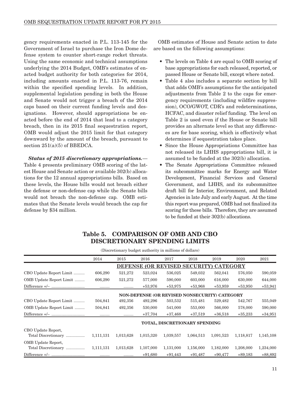<span id="page-16-0"></span>gency requirements enacted in P.L. 113-145 for the Government of Israel to purchase the Iron Dome defense system to counter short-range rocket threats. Using the same economic and technical assumptions underlying the 2014 Budget, OMB's estimates of enacted budget authority for both categories for 2014, including amounts enacted in P.L. 113-76, remain within the specified spending levels. In addition, supplemental legislation pending in both the House and Senate would not trigger a breach of the 2014 caps based on their current funding levels and designations. However, should appropriations be enacted before the end of 2014 that lead to a category breach, then in its 2015 final sequestration report, OMB would adjust the 2015 limit for that category downward by the amount of the breach, pursuant to section  $251(a)(5)$  of BBEDCA.

*Status of 2015 discretionary appropriations.*— Table 4 presents preliminary OMB scoring of the latest House and Senate action or available 302(b) allocations for the 12 annual appropriations bills. Based on these levels, the House bills would not breach either the defense or non-defense cap while the Senate bills would not breach the non-defense cap. OMB estimates that the Senate levels would breach the cap for defense by \$34 million.

OMB estimates of House and Senate action to date are based on the following assumptions:

- The levels on Table 4 are equal to OMB scoring of base appropriations for each released, reported, or passed House or Senate bill, except where noted.
- Table 4 also includes a separate section by bill that adds OMB's assumptions for the anticipated adjustments from Table 2 to the caps for emergency requirements (including wildfire suppression), OCO/GWOT, CDR's and redeterminations, HCFAC, and disaster relief funding. The level on Table 2 is used even if the House or Senate bill provides an alternate level so that any differences are for base scoring, which is effectively what determines if sequestration takes place.
- Since the House Appropriations Committee has not released its LHHS appropriations bill, it is assumed to be funded at the 302(b) allocation.
- • The Senate Appropriations Committee released its subcommittee marks for Energy and Water Development, Financial Services and General Government, and LHHS, and its subcommittee draft bill for Interior, Environment, and Related Agencies in late July and early August. At the time this report was prepared, OMB had not finalized its scoring for these bills. Therefore, they are assumed to be funded at their 302(b) allocations.

## Table 5. COMPARISON OF OMB AND CBO DISCRETIONARY SPENDING LIMITS

| (Discretionary budget authority in millions of dollars) |           |           |           |           |                                                      |                 |           |           |  |
|---------------------------------------------------------|-----------|-----------|-----------|-----------|------------------------------------------------------|-----------------|-----------|-----------|--|
|                                                         | 2014      | 2015      | 2016      | 2017      | 2018                                                 | 2019            | 2020      | 2021      |  |
|                                                         |           |           |           |           | DEFENSE (OR REVISED SECURITY)                        | <b>CATEGORY</b> |           |           |  |
| CBO Update Report Limit                                 | 606,290   | 521,272   | 523,024   | 536,025   | 549,032                                              | 562,041         | 576,050   | 590,059   |  |
| OMB Update Report Limit                                 | 606,290   | 521,272   | 577,000   | 590,000   | 603,000                                              | 616,000         | 630,000   | 644,000   |  |
|                                                         | .         |           | $+53,976$ | $+53,975$ | $+53,968$                                            | $+53,959$       | $+53,950$ | $+53,941$ |  |
|                                                         |           |           |           |           | <b>NON-DEFENSE (OR REVISED NONSECURITY) CATEGORY</b> |                 |           |           |  |
| CBO Update Report Limit                                 | 504,841   | 492,356   | 492,296   | 503,532   | 515,481                                              | 529,482         | 542,767   | 555,049   |  |
| OMB Update Report Limit                                 | 504,841   | 492,356   | 530,000   | 541,000   | 553,000                                              | 566,000         | 578,000   | 590,000   |  |
|                                                         |           |           | $+37,704$ | $+37,468$ | $+37,519$                                            | $+36,518$       | $+35,233$ | $+34,951$ |  |
|                                                         |           |           |           |           | TOTAL, DISCRETIONARY SPENDING                        |                 |           |           |  |
| CBO Update Report,<br>Total Discretionary               | 1,111,131 | 1,013,628 | 1,015,320 | 1,039,557 | 1,064,513                                            | 1,091,523       | 1,118,817 | 1,145,108 |  |
| OMB Update Report,<br>Total Discretionary               | 1,111,131 | 1,013,628 | 1,107,000 | 1,131,000 | 1,156,000                                            | 1,182,000       | 1,208,000 | 1,234,000 |  |
|                                                         |           |           | $+91,680$ | $+91,443$ | $+91,487$                                            | $+90,477$       | $+89,183$ | $+88,892$ |  |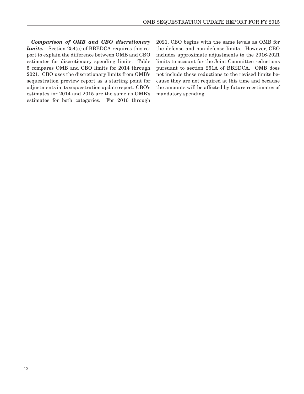*Comparison of OMB and CBO discretionary limits.*—Section 254(e) of BBEDCA requires this report to explain the difference between OMB and CBO estimates for discretionary spending limits. Table 5 compares OMB and CBO limits for 2014 through 2021. CBO uses the discretionary limits from OMB's sequestration preview report as a starting point for adjustments in its sequestration update report. CBO's estimates for 2014 and 2015 are the same as OMB's estimates for both categories. For 2016 through 2021, CBO begins with the same levels as OMB for the defense and non-defense limits. However, CBO includes approximate adjustments to the 2016-2021 limits to account for the Joint Committee reductions pursuant to section 251A of BBEDCA. OMB does not include these reductions to the revised limits because they are not required at this time and because the amounts will be affected by future reestimates of mandatory spending.